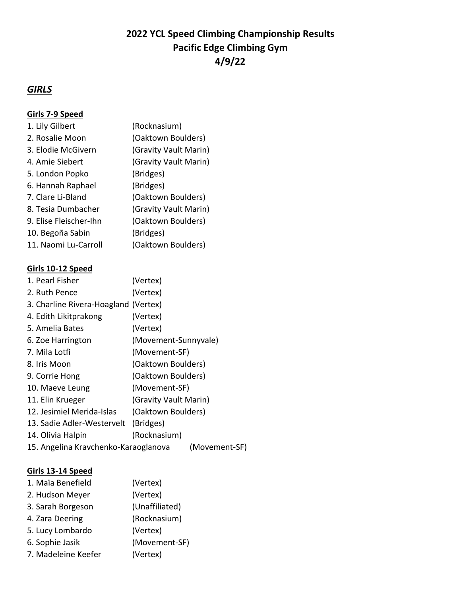# **2022 YCL Speed Climbing Championship Results Pacific Edge Climbing Gym 4/9/22**

## *GIRLS*

### **Girls 7-9 Speed**

| 1. Lily Gilbert        | (Rocknasium)          |
|------------------------|-----------------------|
| 2. Rosalie Moon        | (Oaktown Boulders)    |
| 3. Elodie McGivern     | (Gravity Vault Marin) |
| 4. Amie Siebert        | (Gravity Vault Marin) |
| 5. London Popko        | (Bridges)             |
| 6. Hannah Raphael      | (Bridges)             |
| 7. Clare Li-Bland      | (Oaktown Boulders)    |
| 8. Tesia Dumbacher     | (Gravity Vault Marin) |
| 9. Elise Fleischer-Ihn | (Oaktown Boulders)    |
| 10. Begoña Sabin       | (Bridges)             |
| 11. Naomi Lu-Carroll   | (Oaktown Boulders)    |

#### **Girls 10-12 Speed**

| (Vertex)                             |                                                                                                                                                   |
|--------------------------------------|---------------------------------------------------------------------------------------------------------------------------------------------------|
| (Vertex)                             |                                                                                                                                                   |
| 3. Charline Rivera-Hoagland (Vertex) |                                                                                                                                                   |
| (Vertex)                             |                                                                                                                                                   |
| (Vertex)                             |                                                                                                                                                   |
|                                      |                                                                                                                                                   |
|                                      |                                                                                                                                                   |
|                                      |                                                                                                                                                   |
|                                      |                                                                                                                                                   |
|                                      |                                                                                                                                                   |
|                                      |                                                                                                                                                   |
|                                      |                                                                                                                                                   |
| (Bridges)                            |                                                                                                                                                   |
| (Rocknasium)                         |                                                                                                                                                   |
| 15. Angelina Kravchenko-Karaoglanova | (Movement-SF)                                                                                                                                     |
|                                      | (Movement-Sunnyvale)<br>(Movement-SF)<br>(Oaktown Boulders)<br>(Oaktown Boulders)<br>(Movement-SF)<br>(Gravity Vault Marin)<br>(Oaktown Boulders) |

### **Girls 13-14 Speed**

| 1. Maïa Benefield   | (Vertex)       |
|---------------------|----------------|
| 2. Hudson Meyer     | (Vertex)       |
| 3. Sarah Borgeson   | (Unaffiliated) |
| 4. Zara Deering     | (Rocknasium)   |
| 5. Lucy Lombardo    | (Vertex)       |
| 6. Sophie Jasik     | (Movement-SF)  |
| 7. Madeleine Keefer | (Vertex)       |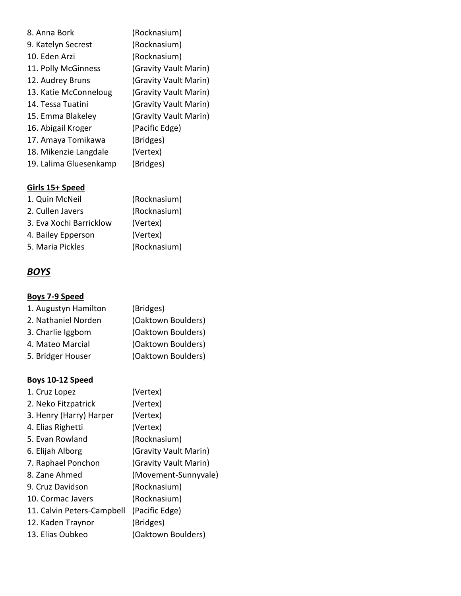| 8. Anna Bork           | (Rocknasium)          |
|------------------------|-----------------------|
| 9. Katelyn Secrest     | (Rocknasium)          |
| 10. Eden Arzi          | (Rocknasium)          |
| 11. Polly McGinness    | (Gravity Vault Marin) |
| 12. Audrey Bruns       | (Gravity Vault Marin) |
| 13. Katie McConneloug  | (Gravity Vault Marin) |
| 14. Tessa Tuatini      | (Gravity Vault Marin) |
| 15. Emma Blakeley      | (Gravity Vault Marin) |
| 16. Abigail Kroger     | (Pacific Edge)        |
| 17. Amaya Tomikawa     | (Bridges)             |
| 18. Mikenzie Langdale  | (Vertex)              |
| 19. Lalima Gluesenkamp | (Bridges)             |

# **Girls 15+ Speed**

| Girls 15+ Speed         |              |
|-------------------------|--------------|
| 1. Quin McNeil          | (Rocknasium) |
| 2. Cullen Javers        | (Rocknasium) |
| 3. Eva Xochi Barricklow | (Vertex)     |
| 4. Bailey Epperson      | (Vertex)     |
| 5. Maria Pickles        | (Rocknasium) |

# *BOYS*

## **Boys 7-9 Speed**

| 1. Augustyn Hamilton | (Bridges)          |
|----------------------|--------------------|
| 2. Nathaniel Norden  | (Oaktown Boulders) |
| 3. Charlie Iggbom    | (Oaktown Boulders) |
| 4. Mateo Marcial     | (Oaktown Boulders) |
| 5. Bridger Houser    | (Oaktown Boulders) |

### **Boys 10-12 Speed**

| 1. Cruz Lopez              | (Vertex)              |
|----------------------------|-----------------------|
| 2. Neko Fitzpatrick        | (Vertex)              |
| 3. Henry (Harry) Harper    | (Vertex)              |
| 4. Elias Righetti          | (Vertex)              |
| 5. Evan Rowland            | (Rocknasium)          |
| 6. Elijah Alborg           | (Gravity Vault Marin) |
| 7. Raphael Ponchon         | (Gravity Vault Marin) |
| 8. Zane Ahmed              | (Movement-Sunnyvale)  |
| 9. Cruz Davidson           | (Rocknasium)          |
| 10. Cormac Javers          | (Rocknasium)          |
| 11. Calvin Peters-Campbell | (Pacific Edge)        |
| 12. Kaden Traynor          | (Bridges)             |
| 13. Elias Oubkeo           | (Oaktown Boulders)    |